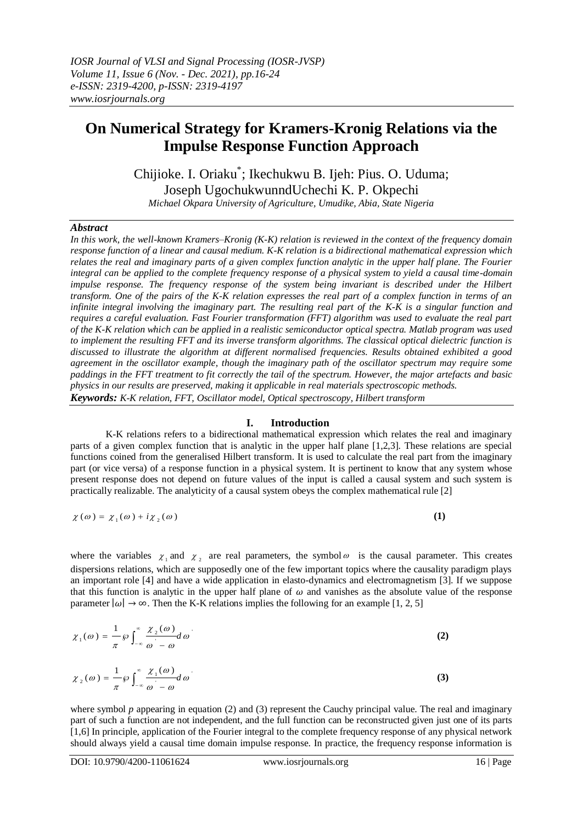# **On Numerical Strategy for Kramers-Kronig Relations via the Impulse Response Function Approach**

Chijioke. I. Oriaku\* ; Ikechukwu B. Ijeh: Pius. O. Uduma; Joseph UgochukwunndUchechi K. P. Okpechi *Michael Okpara University of Agriculture, Umudike, Abia, State Nigeria* 

#### *Abstract*

*In this work, the well-known Kramers–Kronig (K-K) relation is reviewed in the context of the frequency domain response function of a linear and causal medium. K-K relation is a bidirectional mathematical expression which relates the real and imaginary parts of a given complex function analytic in the upper half plane. The Fourier integral can be applied to the complete frequency response of a physical system to yield a causal time-domain impulse response. The frequency response of the system being invariant is described under the Hilbert transform. One of the pairs of the K-K relation expresses the real part of a complex function in terms of an infinite integral involving the imaginary part. The resulting real part of the K-K is a singular function and requires a careful evaluation. Fast Fourier transformation (FFT) algorithm was used to evaluate the real part of the K-K relation which can be applied in a realistic semiconductor optical spectra. Matlab program was used to implement the resulting FFT and its inverse transform algorithms. The classical optical dielectric function is discussed to illustrate the algorithm at different normalised frequencies. Results obtained exhibited a good agreement in the oscillator example, though the imaginary path of the oscillator spectrum may require some paddings in the FFT treatment to fit correctly the tail of the spectrum. However, the major artefacts and basic physics in our results are preserved, making it applicable in real materials spectroscopic methods. Keywords: K-K relation, FFT, Oscillator model, Optical spectroscopy, Hilbert transform*

### **I. Introduction**

K-K relations refers to a bidirectional mathematical expression which relates the real and imaginary parts of a given complex function that is analytic in the upper half plane [1,2,3]. These relations are special functions coined from the generalised Hilbert transform. It is used to calculate the real part from the imaginary part (or vice versa) of a response function in a physical system. It is pertinent to know that any system whose present response does not depend on future values of the input is called a causal system and such system is practically realizable. The analyticity of a causal system obeys the complex mathematical rule [2]

$$
\chi(\omega) = \chi_1(\omega) + i\chi_2(\omega) \tag{1}
$$

where the variables  $\chi_1$  and  $\chi_2$  are real parameters, the symbol  $\omega$  is the causal parameter. This creates dispersions relations, which are supposedly one of the few important topics where the causality paradigm plays an important role [4] and have a wide application in elasto-dynamics and electromagnetism [3]. If we suppose that this function is analytic in the upper half plane of  $\omega$  and vanishes as the absolute value of the response parameter  $|\omega| \to \infty$ . Then the K-K relations implies the following for an example [1, 2, 5]

$$
\chi_1(\omega) = \frac{1}{\pi} \wp \int_{-\infty}^{\infty} \frac{\chi_2(\omega)}{\omega - \omega} d\omega \tag{2}
$$

$$
\chi_2(\omega) = \frac{1}{\pi} \wp \int_{-\infty}^{\infty} \frac{\chi_1(\omega)}{\omega - \omega} d\omega \tag{3}
$$

where symbol  $p$  appearing in equation (2) and (3) represent the Cauchy principal value. The real and imaginary part of such a function are not independent, and the full function can be reconstructed given just one of its parts [1,6] In principle, application of the Fourier integral to the complete frequency response of any physical network should always yield a causal time domain impulse response. In practice, the frequency response information is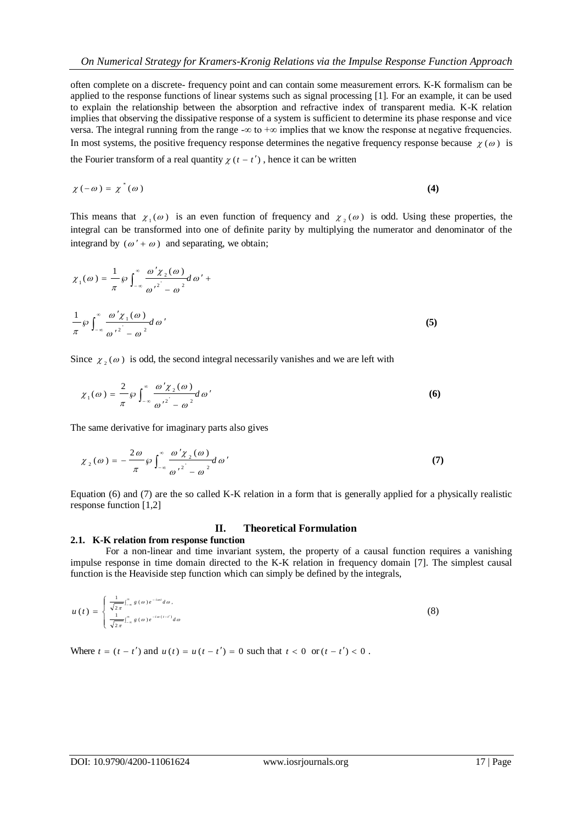often complete on a discrete- frequency point and can contain some measurement errors. K-K formalism can be applied to the response functions of linear systems such as signal processing [1]. For an example, it can be used to explain the relationship between the absorption and refractive index of transparent media. K-K relation implies that observing the dissipative response of a system is sufficient to determine its phase response and vice versa. The integral running from the range  $-\infty$  to  $+\infty$  implies that we know the response at negative frequencies. In most systems, the positive frequency response determines the negative frequency response because  $\chi(\omega)$  is the Fourier transform of a real quantity  $\chi$  ( $t$  –  $t'$ ), hence it can be written

$$
\chi(-\omega) = \chi^*(\omega) \tag{4}
$$

This means that  $\chi_1(\omega)$  is an even function of frequency and  $\chi_2(\omega)$  is odd. Using these properties, the integral can be transformed into one of definite parity by multiplying the numerator and denominator of the integrand by  $(\omega' + \omega)$  and separating, we obtain;

$$
\chi_1(\omega) = \frac{1}{\pi} \wp \int_{-\infty}^{\infty} \frac{\omega' \chi_2(\omega)}{\omega'^2 - \omega^2} d\omega' +
$$
  

$$
\frac{1}{\pi} \wp \int_{-\infty}^{\infty} \frac{\omega' \chi_1(\omega)}{\omega'^2 - \omega^2} d\omega'
$$
 (5)

Since  $\chi_2(\omega)$  is odd, the second integral necessarily vanishes and we are left with

$$
\chi_1(\omega) = \frac{2}{\pi} \wp \int_{-\infty}^{\infty} \frac{\omega' \chi_2(\omega)}{\omega'^2 - \omega^2} d\omega'
$$
 (6)

The same derivative for imaginary parts also gives

$$
\chi_2(\omega) = -\frac{2\omega}{\pi} \wp \int_{-\infty}^{\infty} \frac{\omega' \chi_2(\omega)}{\omega'^2 - \omega^2} d\omega'
$$
 (7)

Equation (6) and (7) are the so called K-K relation in a form that is generally applied for a physically realistic response function [1,2]

#### **II. Theoretical Formulation**

#### **2.1. K-K relation from response function**

For a non-linear and time invariant system, the property of a causal function requires a vanishing impulse response in time domain directed to the K-K relation in frequency domain [7]. The simplest causal function is the Heaviside step function which can simply be defined by the integrals,

$$
u(t) = \begin{cases} \frac{1}{\sqrt{2\pi}} \int_{-\infty}^{\infty} g(\omega) e^{-i\omega t} d\omega, \\ \frac{1}{\sqrt{2\pi}} \int_{-\infty}^{\infty} g(\omega) e^{-i\omega(t-t')} d\omega \end{cases}
$$
(8)

Where  $t = (t - t')$  and  $u(t) = u(t - t') = 0$  such that  $t < 0$  or  $(t - t') < 0$ .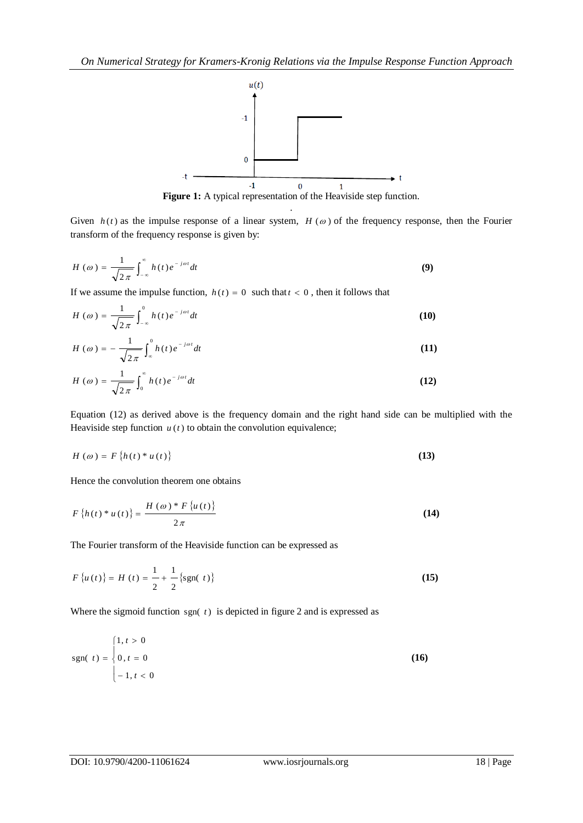

Figure 1: A typical representation of the Heaviside step function. .

Given  $h(t)$  as the impulse response of a linear system,  $H(\omega)$  of the frequency response, then the Fourier transform of the frequency response is given by:

$$
H\left(\omega\right) = \frac{1}{\sqrt{2\,\pi}} \int_{-\infty}^{\infty} h\left(t\right) e^{-j\omega t} dt \tag{9}
$$

If we assume the impulse function,  $h(t) = 0$  such that  $t < 0$ , then it follows that

$$
H\left(\omega\right) = \frac{1}{\sqrt{2\pi}} \int_{-\infty}^{0} h\left(t\right) e^{-j\omega t} dt \tag{10}
$$

$$
H\left(\omega\right) = -\frac{1}{\sqrt{2\pi}} \int_{-\infty}^{0} h\left(t\right) e^{-j\omega t} dt \tag{11}
$$

$$
H\left(\omega\right) = \frac{1}{\sqrt{2\pi}} \int_0^\infty h(t) e^{-j\omega t} dt \tag{12}
$$

Equation (12) as derived above is the frequency domain and the right hand side can be multiplied with the Heaviside step function  $u(t)$  to obtain the convolution equivalence;

$$
H(\omega) = F\left\{h(t)^* u(t)\right\} \tag{13}
$$

Hence the convolution theorem one obtains

$$
F\left\{h\left(t\right)\ast u\left(t\right)\right\} = \frac{H\left(\omega\right)\ast F\left\{u\left(t\right)\right\}}{2\pi} \tag{14}
$$

The Fourier transform of the Heaviside function can be expressed as

$$
F\{u(t)\} = H(t) = \frac{1}{2} + \frac{1}{2} \{\text{sgn}(t)\}\
$$
 (15)

Where the sigmoid function  $sgn(t)$  is depicted in figure 2 and is expressed as

$$
sgn(t) = \begin{cases} 1, t > 0 \\ 0, t = 0 \\ -1, t < 0 \end{cases}
$$
 (16)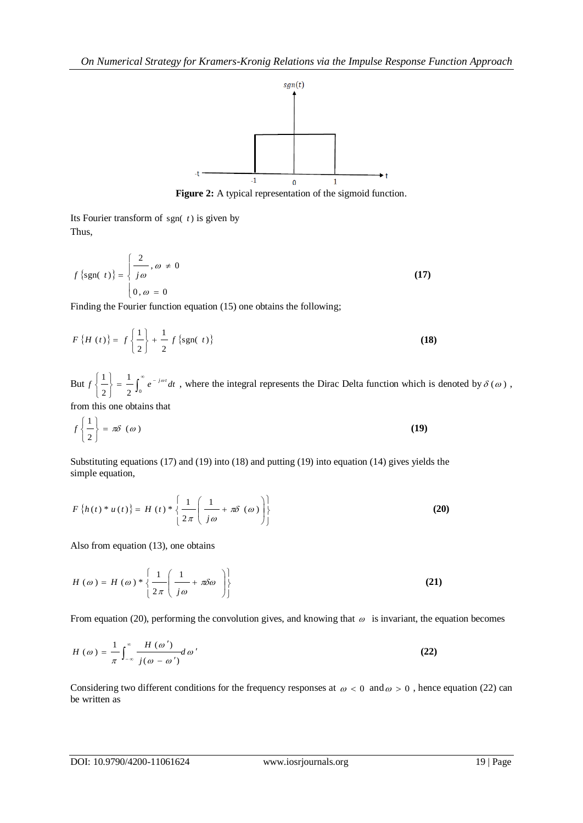

Figure 2: A typical representation of the sigmoid function.

Its Fourier transform of  $sgn(t)$  is given by Thus,

$$
f\left\{\text{sgn}(\ t)\right\} = \begin{cases} \frac{2}{j\omega}, \omega \neq 0\\ 0, \omega = 0 \end{cases}
$$
 (17)

Finding the Fourier function equation (15) one obtains the following;

$$
F\{H(t)\} = f\left\{\frac{1}{2}\right\} + \frac{1}{2} f\{\text{sgn}(t)\}\
$$
 (18)

But  $f\left\{\frac{1}{2}\right\} = \frac{1}{2}\int_0^\infty e^{-t} dt$ J ł  $\mathbf{I}$  $\overline{\mathfrak{l}}$ ₹  $\left($  $2^{\mathsf{J}_0}$ 1 2  $f\left\{\frac{1}{\epsilon}\right\} = \frac{1}{\epsilon} \int_{-\epsilon}^{\infty} e^{-j\omega t} dt$ , where the integral represents the Dirac Delta function which is denoted by  $\delta(\omega)$ ,

from this one obtains that

$$
f\left\{\frac{1}{2}\right\} = \pi \delta \, \left(\omega\right) \tag{19}
$$

Substituting equations (17) and (19) into (18) and putting (19) into equation (14) gives yields the simple equation,

$$
F\left\{h(t)^* u(t)\right\} = H\left(t\right) * \left\{\frac{1}{2\pi} \left(\frac{1}{j\omega} + \pi \delta\left(\omega\right)\right)\right\}
$$
 (20)

Also from equation (13), one obtains

$$
H(\omega) = H(\omega) * \left\{ \frac{1}{2\pi} \left( \frac{1}{j\omega} + \pi \delta \omega \right) \right\}
$$
 (21)

From equation (20), performing the convolution gives, and knowing that  $\omega$  is invariant, the equation becomes

$$
H(\omega) = \frac{1}{\pi} \int_{-\infty}^{\infty} \frac{H(\omega')}{j(\omega - \omega')} d\omega'
$$
 (22)

Considering two different conditions for the frequency responses at  $\omega < 0$  and  $\omega > 0$ , hence equation (22) can be written as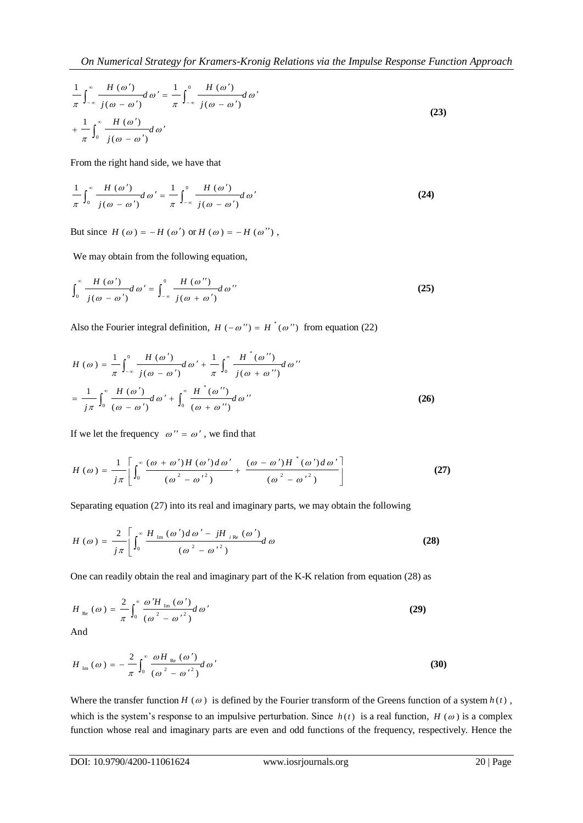$$
\frac{1}{\pi} \int_{-\infty}^{\infty} \frac{H(\omega')}{j(\omega - \omega')} d\omega' = \frac{1}{\pi} \int_{-\infty}^{0} \frac{H(\omega')}{j(\omega - \omega')} d\omega'
$$
\n
$$
+ \frac{1}{\pi} \int_{0}^{\infty} \frac{H(\omega')}{j(\omega - \omega')} d\omega'
$$
\n(23)

From the right hand side, we have that

$$
\frac{1}{\pi} \int_0^\infty \frac{H(\omega')}{j(\omega - \omega')} d\omega' = \frac{1}{\pi} \int_{-\infty}^0 \frac{H(\omega')}{j(\omega - \omega')} d\omega'
$$
 (24)

But since  $H(\omega) = -H(\omega')$  or  $H(\omega) = -H(\omega'')$ ,

We may obtain from the following equation,

$$
\int_0^\infty \frac{H(\omega')}{j(\omega - \omega')} d\omega' = \int_{-\infty}^0 \frac{H(\omega'')}{j(\omega + \omega')} d\omega''
$$
\n(25)

Also the Fourier integral definition,  $H(-\omega'') = H^*(\omega'')$  from equation (22)

$$
H(\omega) = \frac{1}{\pi} \int_{-\infty}^{0} \frac{H(\omega')}{j(\omega - \omega')} d\omega' + \frac{1}{\pi} \int_{0}^{\infty} \frac{H^{*}(\omega'')}{j(\omega + \omega'')} d\omega''
$$

$$
= \frac{1}{j\pi} \int_{0}^{\infty} \frac{H(\omega')}{(\omega - \omega')} d\omega' + \int_{0}^{\infty} \frac{H^{*}(\omega'')}{(\omega + \omega'')} d\omega''
$$
(26)

If we let the frequency  $\omega'' = \omega'$ , we find that

$$
H(\omega) = \frac{1}{j\pi} \left[ \int_0^\infty \frac{(\omega + \omega')H(\omega')d\omega'}{(\omega^2 - {\omega'}^2)} + \frac{(\omega - \omega')H^*(\omega')d\omega'}{(\omega^2 - {\omega'}^2)} \right]
$$
(27)

Separating equation (27) into its real and imaginary parts, we may obtain the following

$$
H\left(\omega\right) = \frac{2}{j\pi} \left[ \int_0^\infty \frac{H_{\text{Im}}\left(\omega'\right) d\omega' - jH_{\text{ike}}\left(\omega'\right)}{\left(\omega^2 - {\omega'}^2\right)} d\omega \right]
$$
 (28)

One can readily obtain the real and imaginary part of the K-K relation from equation (28) as

$$
H_{\text{Re}}\left(\omega\right) = \frac{2}{\pi} \int_0^\infty \frac{\omega'H_{\text{Im}}\left(\omega'\right)}{\left(\omega^2 - {\omega'}^2\right)} d\omega'
$$
 (29)

And

$$
H_{\text{Im}}\left(\omega\right) = -\frac{2}{\pi} \int_0^\infty \frac{\omega H_{\text{Re}}\left(\omega'\right)}{\left(\omega^2 - {\omega'}^2\right)} d\omega'
$$
 (30)

Where the transfer function  $H(\omega)$  is defined by the Fourier transform of the Greens function of a system  $h(t)$ , which is the system's response to an impulsive perturbation. Since  $h(t)$  is a real function,  $H(\omega)$  is a complex function whose real and imaginary parts are even and odd functions of the frequency, respectively. Hence the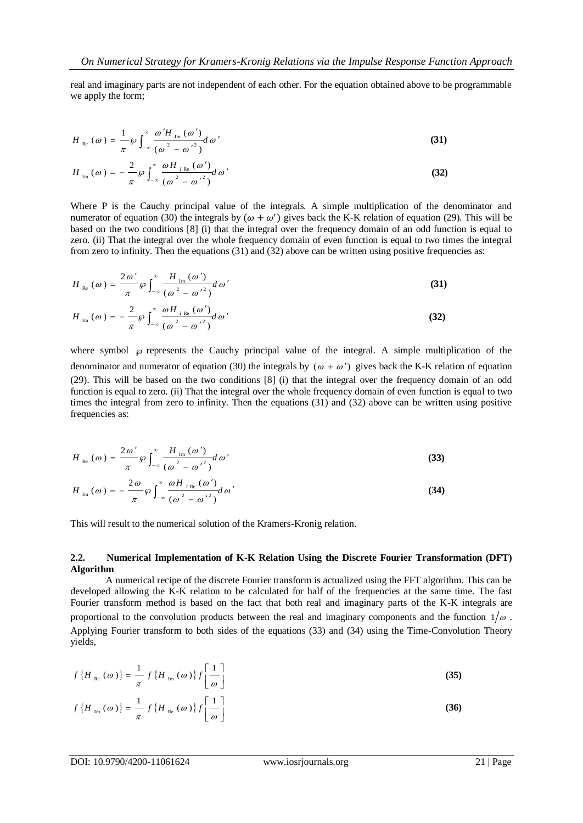real and imaginary parts are not independent of each other. For the equation obtained above to be programmable we apply the form:

$$
H_{\text{Re}}\left(\omega\right) = \frac{1}{\pi} \wp \int_{-\infty}^{\infty} \frac{\omega' H_{\text{Im}}\left(\omega'\right)}{\left(\omega^2 - {\omega'}^2\right)} d\omega'
$$
 (31)

$$
H_{\text{Im}}\left(\omega\right) = -\frac{2}{\pi} \wp \int_{-\infty}^{\infty} \frac{\omega H_{I\text{Re}}\left(\omega'\right)}{\left(\omega^2 - {\omega'}^2\right)} d\omega'
$$
 (32)

Where P is the Cauchy principal value of the integrals. A simple multiplication of the denominator and numerator of equation (30) the integrals by  $(\omega + \omega')$  gives back the K-K relation of equation (29). This will be based on the two conditions [8] (i) that the integral over the frequency domain of an odd function is equal to zero. (ii) That the integral over the whole frequency domain of even function is equal to two times the integral from zero to infinity. Then the equations (31) and (32) above can be written using positive frequencies as:

$$
H_{\text{Re}}\left(\omega\right) = \frac{2\omega'}{\pi} \wp \int_{-\infty}^{\infty} \frac{H_{\text{Im}}\left(\omega'\right)}{\left(\omega^2 - {\omega'}^2\right)} d\omega'
$$
 (31)

$$
H_{\text{Im}}(\omega) = -\frac{2}{\pi} \wp \int_{-\infty}^{\infty} \frac{\omega H_{I \text{Re}}(\omega')}{(\omega^2 - {\omega'}^2)} d\omega'
$$
 (32)

where symbol  $\wp$  represents the Cauchy principal value of the integral. A simple multiplication of the denominator and numerator of equation (30) the integrals by  $(\omega + \omega')$  gives back the K-K relation of equation (29). This will be based on the two conditions [8] (i) that the integral over the frequency domain of an odd function is equal to zero. (ii) That the integral over the whole frequency domain of even function is equal to two times the integral from zero to infinity. Then the equations (31) and (32) above can be written using positive frequencies as:

$$
H_{\text{Re}}\left(\omega\right) = \frac{2\,\omega'}{\pi} \wp \int_{-\infty}^{\infty} \frac{H_{\text{Im}}\left(\omega'\right)}{\left(\omega^2 - {\omega'}^2\right)} d\,\omega' \tag{33}
$$

$$
H_{\text{Im}}(\omega) = -\frac{2\omega}{\pi} \wp \int_{-\infty}^{\infty} \frac{\omega H_{I_{\text{Re}}}(\omega')}{(\omega^2 - {\omega'}^2)} d\omega'
$$
 (34)

This will result to the numerical solution of the Kramers-Kronig relation.

#### **2.2. Numerical Implementation of K-K Relation Using the Discrete Fourier Transformation (DFT) Algorithm**

A numerical recipe of the discrete Fourier transform is actualized using the FFT algorithm. This can be developed allowing the K-K relation to be calculated for half of the frequencies at the same time. The fast Fourier transform method is based on the fact that both real and imaginary parts of the K-K integrals are proportional to the convolution products between the real and imaginary components and the function  $1/\omega$ . Applying Fourier transform to both sides of the equations (33) and (34) using the Time-Convolution Theory yields,

$$
f\left\{H_{\text{Re}}\left(\omega\right)\right\} = \frac{1}{\pi} f\left\{H_{\text{Im}}\left(\omega\right)\right\} f\left[\frac{1}{\omega}\right]
$$
\n
$$
f\left\{H_{\text{Im}}\left(\omega\right)\right\} = \frac{1}{\pi} f\left\{H_{\text{Re}}\left(\omega\right)\right\} f\left[\frac{1}{\omega}\right]
$$
\n(36)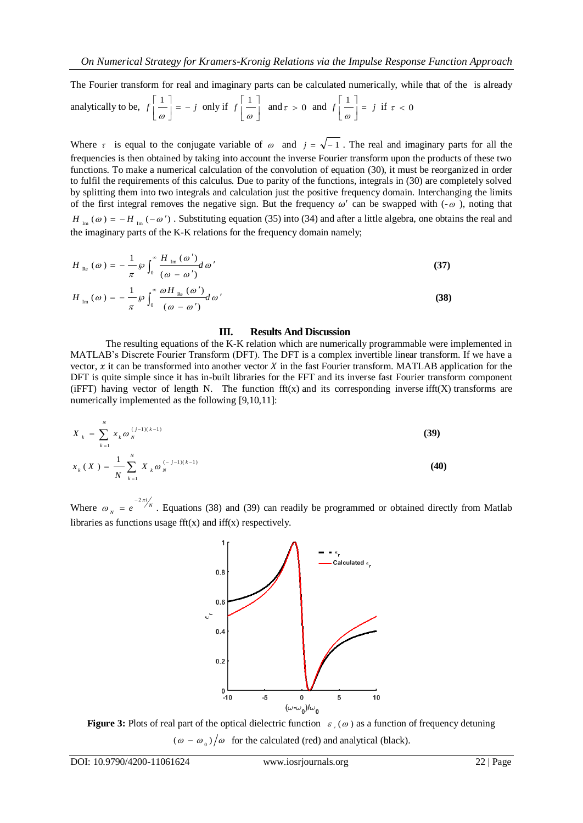The Fourier transform for real and imaginary parts can be calculated numerically, while that of the is already

analytically to be, 
$$
f\left[\frac{1}{\omega}\right] = -j
$$
 only if  $f\left[\frac{1}{\omega}\right]$  and  $\tau > 0$  and  $f\left[\frac{1}{\omega}\right] = j$  if  $\tau < 0$ 

Where  $\tau$  is equal to the conjugate variable of  $\omega$  and  $j = \sqrt{-1}$ . The real and imaginary parts for all the frequencies is then obtained by taking into account the inverse Fourier transform upon the products of these two functions. To make a numerical calculation of the convolution of equation (30), it must be reorganized in order to fulfil the requirements of this calculus. Due to parity of the functions, integrals in (30) are completely solved by splitting them into two integrals and calculation just the positive frequency domain. Interchanging the limits of the first integral removes the negative sign. But the frequency  $\omega'$  can be swapped with  $(-\omega)$ , noting that  $H_{Im}(\omega) = -H_{Im}(-\omega')$ . Substituting equation (35) into (34) and after a little algebra, one obtains the real and the imaginary parts of the K-K relations for the frequency domain namely;

$$
H_{\text{Re}}\left(\omega\right) = -\frac{1}{\pi}\wp \int_0^\infty \frac{H_{\text{Im}}\left(\omega'\right)}{\left(\omega - \omega'\right)} d\omega'
$$
 (37)

$$
H_{\text{Im}}(\omega) = -\frac{1}{\pi} \wp \int_0^\infty \frac{\omega H_{\text{Re}}(\omega')}{(\omega - \omega')} d\omega'
$$
 (38)

#### **III. Results And Discussion**

The resulting equations of the K-K relation which are numerically programmable were implemented in MATLAB's Discrete Fourier Transform (DFT). The DFT is a complex invertible linear transform. If we have a vector,  $x$  it can be transformed into another vector  $X$  in the fast Fourier transform. MATLAB application for the DFT is quite simple since it has in-built libraries for the FFT and its inverse fast Fourier transform component (iFFT) having vector of length N. The function  $\text{fft}(x)$  and its corresponding inverse ifft $(X)$  transforms are numerically implemented as the following [9,10,11]:

$$
X_{k} = \sum_{k=1}^{N} x_{k} \omega_{N}^{(j-1)(k-1)}
$$
(39)  

$$
x_{k}(X) = \frac{1}{N} \sum_{k=1}^{N} X_{k} \omega_{N}^{(-j-1)(k-1)}
$$
(40)

Where  $\omega_N = e^{-2\pi i/N}$  $\omega_N = e^{-2\pi}$  $= e^{-2\pi i/2}$ . Equations (38) and (39) can readily be programmed or obtained directly from Matlab libraries as functions usage  $fft(x)$  and  $iff(x)$  respectively.



**Figure 3:** Plots of real part of the optical dielectric function  $\varepsilon_r(\omega)$  as a function of frequency detuning  $(\omega - \omega_0)/\omega$  for the calculated (red) and analytical (black).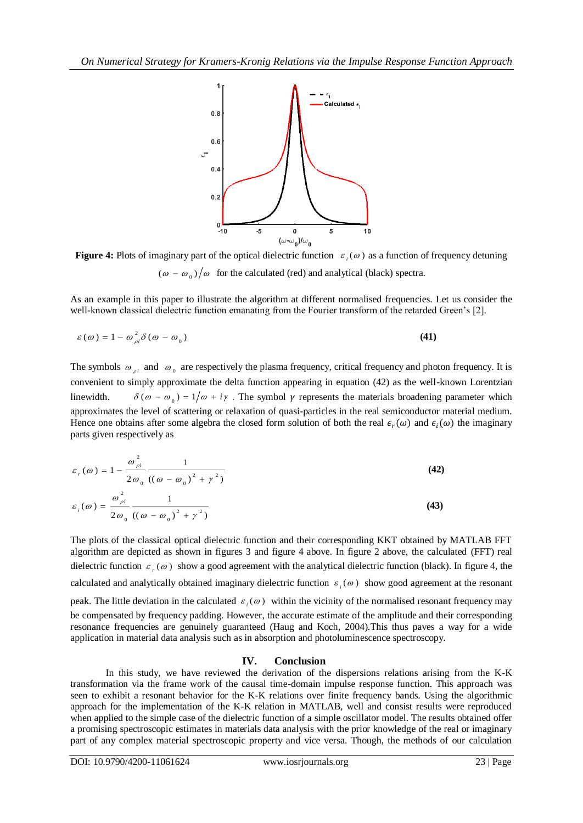

**Figure 4:** Plots of imaginary part of the optical dielectric function  $\varepsilon_i(\omega)$  as a function of frequency detuning  $(\omega - \omega_0)/\omega$  for the calculated (red) and analytical (black) spectra.

As an example in this paper to illustrate the algorithm at different normalised frequencies. Let us consider the well-known classical dielectric function emanating from the Fourier transform of the retarded Green's [2].

$$
\varepsilon(\omega) = 1 - \omega_{\rho l}^2 \delta(\omega - \omega_0)
$$
 (41)

The symbols  $\omega_{\rho l}$  and  $\omega_0$  are respectively the plasma frequency, critical frequency and photon frequency. It is convenient to simply approximate the delta function appearing in equation (42) as the well-known Lorentzian linewidth.  $\delta(\omega - \omega_0) = 1/\omega + i\gamma$ . The symbol  $\gamma$  represents the materials broadening parameter which approximates the level of scattering or relaxation of quasi-particles in the real semiconductor material medium. Hence one obtains after some algebra the closed form solution of both the real  $\epsilon_r(\omega)$  and  $\epsilon_i(\omega)$  the imaginary parts given respectively as

$$
\varepsilon_r(\omega) = 1 - \frac{\omega_{\rho l}^2}{2\omega_0} \frac{1}{((\omega - \omega_0)^2 + \gamma^2)}
$$
(42)

$$
\varepsilon_i(\omega) = \frac{\omega_{\rho i}}{2\omega_0} \frac{1}{\left(\left(\omega - \omega_0\right)^2 + \gamma^2\right)}
$$
(43)

The plots of the classical optical dielectric function and their corresponding KKT obtained by MATLAB FFT algorithm are depicted as shown in figures 3 and figure 4 above. In figure 2 above, the calculated (FFT) real dielectric function  $\varepsilon_r(\omega)$  show a good agreement with the analytical dielectric function (black). In figure 4, the calculated and analytically obtained imaginary dielectric function  $\varepsilon_i(\omega)$  show good agreement at the resonant peak. The little deviation in the calculated  $\varepsilon_i(\omega)$  within the vicinity of the normalised resonant frequency may be compensated by frequency padding. However, the accurate estimate of the amplitude and their corresponding resonance frequencies are genuinely guaranteed (Haug and Koch, 2004).This thus paves a way for a wide application in material data analysis such as in absorption and photoluminescence spectroscopy.

## **IV. Conclusion**

In this study, we have reviewed the derivation of the dispersions relations arising from the K-K transformation via the frame work of the causal time-domain impulse response function. This approach was seen to exhibit a resonant behavior for the K-K relations over finite frequency bands. Using the algorithmic approach for the implementation of the K-K relation in MATLAB, well and consist results were reproduced when applied to the simple case of the dielectric function of a simple oscillator model. The results obtained offer a promising spectroscopic estimates in materials data analysis with the prior knowledge of the real or imaginary part of any complex material spectroscopic property and vice versa. Though, the methods of our calculation